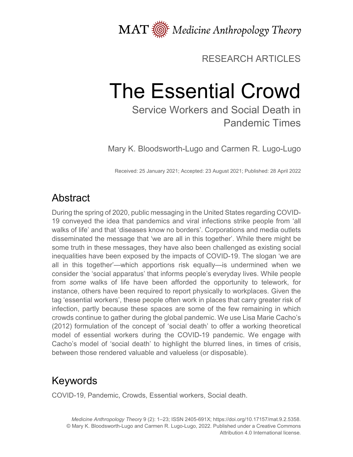

#### RESEARCH ARTICLES

# The Essential Crowd

Service Workers and Social Death in Pandemic Times

Mary K. Bloodsworth-Lugo and Carmen R. Lugo-Lugo

Received: 25 January 2021; Accepted: 23 August 2021; Published: 28 April 2022

## **Abstract**

During the spring of 2020, public messaging in the United States regarding COVID-19 conveyed the idea that pandemics and viral infections strike people from 'all walks of life' and that 'diseases know no borders'. Corporations and media outlets disseminated the message that 'we are all in this together'. While there might be some truth in these messages, they have also been challenged as existing social inequalities have been exposed by the impacts of COVID-19. The slogan 'we are all in this together'—which apportions risk equally—is undermined when we consider the 'social apparatus' that informs people's everyday lives. While people from *some* walks of life have been afforded the opportunity to telework, for instance, others have been required to report physically to workplaces. Given the tag 'essential workers', these people often work in places that carry greater risk of infection, partly because these spaces are some of the few remaining in which crowds continue to gather during the global pandemic. We use Lisa Marie Cacho's (2012) formulation of the concept of 'social death' to offer a working theoretical model of essential workers during the COVID-19 pandemic. We engage with Cacho's model of 'social death' to highlight the blurred lines, in times of crisis, between those rendered valuable and valueless (or disposable).

## Keywords

COVID-19, Pandemic, Crowds, Essential workers, Social death.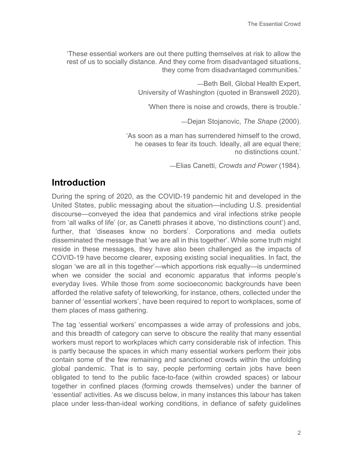'These essential workers are out there putting themselves at risk to allow the rest of us to socially distance. And they come from disadvantaged situations, they come from disadvantaged communities.'

> —Beth Bell, Global Health Expert, University of Washington (quoted in Branswell 2020).

'When there is noise and crowds, there is trouble.'

—Dejan Stojanovic, *The Shape* (2000).

'As soon as a man has surrendered himself to the crowd, he ceases to fear its touch. Ideally, all are equal there; no distinctions count.'

—Elias Canetti, *Crowds and Power* (1984).

#### **Introduction**

During the spring of 2020, as the COVID-19 pandemic hit and developed in the United States, public messaging about the situation—including U.S. presidential discourse—conveyed the idea that pandemics and viral infections strike people from 'all walks of life' (or, as Canetti phrases it above, 'no distinctions count') and, further, that 'diseases know no borders'. Corporations and media outlets disseminated the message that 'we are all in this together'. While some truth might reside in these messages, they have also been challenged as the impacts of COVID-19 have become clearer, exposing existing social inequalities. In fact, the slogan 'we are all in this together'—which apportions risk equally—is undermined when we consider the social and economic apparatus that informs people's everyday lives. While those from *some* socioeconomic backgrounds have been afforded the relative safety of teleworking, for instance, others, collected under the banner of 'essential workers', have been required to report to workplaces, some of them places of mass gathering.

The tag 'essential workers' encompasses a wide array of professions and jobs, and this breadth of category can serve to obscure the reality that many essential workers must report to workplaces which carry considerable risk of infection. This is partly because the spaces in which many essential workers perform their jobs contain some of the few remaining and sanctioned crowds within the unfolding global pandemic. That is to say, people performing certain jobs have been obligated to tend to the public face-to-face (within crowded spaces) or labour together in confined places (forming crowds themselves) under the banner of 'essential' activities. As we discuss below, in many instances this labour has taken place under less-than-ideal working conditions, in defiance of safety guidelines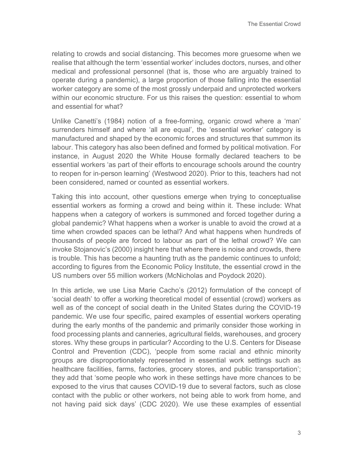relating to crowds and social distancing. This becomes more gruesome when we realise that although the term 'essential worker' includes doctors, nurses, and other medical and professional personnel (that is, those who are arguably trained to operate during a pandemic), a large proportion of those falling into the essential worker category are some of the most grossly underpaid and unprotected workers within our economic structure. For us this raises the question: essential to whom and essential for what?

Unlike Canetti's (1984) notion of a free-forming, organic crowd where a 'man' surrenders himself and where 'all are equal', the 'essential worker' category is manufactured and shaped by the economic forces and structures that summon its labour. This category has also been defined and formed by political motivation. For instance, in August 2020 the White House formally declared teachers to be essential workers 'as part of their efforts to encourage schools around the country to reopen for in-person learning' (Westwood 2020). Prior to this, teachers had not been considered, named or counted as essential workers.

Taking this into account, other questions emerge when trying to conceptualise essential workers as forming a crowd and being within it. These include: What happens when a category of workers is summoned and forced together during a global pandemic? What happens when a worker is unable to avoid the crowd at a time when crowded spaces can be lethal? And what happens when hundreds of thousands of people are forced to labour as part of the lethal crowd? We can invoke Stojanovic's (2000) insight here that where there is noise and crowds, there is trouble. This has become a haunting truth as the pandemic continues to unfold; according to figures from the Economic Policy Institute, the essential crowd in the US numbers over 55 million workers (McNicholas and Poydock 2020).

In this article, we use Lisa Marie Cacho's (2012) formulation of the concept of 'social death' to offer a working theoretical model of essential (crowd) workers as well as of the concept of social death in the United States during the COVID-19 pandemic. We use four specific, paired examples of essential workers operating during the early months of the pandemic and primarily consider those working in food processing plants and canneries, agricultural fields, warehouses, and grocery stores. Why these groups in particular? According to the U.S. Centers for Disease Control and Prevention (CDC), 'people from some racial and ethnic minority groups are disproportionately represented in essential work settings such as healthcare facilities, farms, factories, grocery stores, and public transportation'; they add that 'some people who work in these settings have more chances to be exposed to the virus that causes COVID-19 due to several factors, such as close contact with the public or other workers, not being able to work from home, and not having paid sick days' (CDC 2020). We use these examples of essential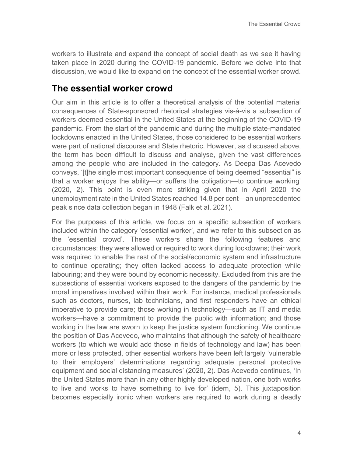workers to illustrate and expand the concept of social death as we see it having taken place in 2020 during the COVID-19 pandemic. Before we delve into that discussion, we would like to expand on the concept of the essential worker crowd.

#### **The essential worker crowd**

Our aim in this article is to offer a theoretical analysis of the potential material consequences of State-sponsored rhetorical strategies vis-à-vis a subsection of workers deemed essential in the United States at the beginning of the COVID-19 pandemic. From the start of the pandemic and during the multiple state-mandated lockdowns enacted in the United States, those considered to be essential workers were part of national discourse and State rhetoric. However, as discussed above, the term has been difficult to discuss and analyse, given the vast differences among the people who are included in the category. As Deepa Das Acevedo conveys, '[t]he single most important consequence of being deemed "essential" is that a worker enjoys the ability—or suffers the obligation—to continue working' (2020, 2). This point is even more striking given that in April 2020 the unemployment rate in the United States reached 14.8 per cent—an unprecedented peak since data collection began in 1948 (Falk et al. 2021).

For the purposes of this article, we focus on a specific subsection of workers included within the category 'essential worker', and we refer to this subsection as the 'essential crowd'. These workers share the following features and circumstances: they were allowed or required to work during lockdowns; their work was required to enable the rest of the social/economic system and infrastructure to continue operating; they often lacked access to adequate protection while labouring; and they were bound by economic necessity. Excluded from this are the subsections of essential workers exposed to the dangers of the pandemic by the moral imperatives involved within their work. For instance, medical professionals such as doctors, nurses, lab technicians, and first responders have an ethical imperative to provide care; those working in technology—such as IT and media workers—have a commitment to provide the public with information; and those working in the law are sworn to keep the justice system functioning. We continue the position of Das Acevedo, who maintains that although the safety of healthcare workers (to which we would add those in fields of technology and law) has been more or less protected, other essential workers have been left largely 'vulnerable to their employers' determinations regarding adequate personal protective equipment and social distancing measures' (2020, 2). Das Acevedo continues, 'In the United States more than in any other highly developed nation, one both works to live and works to have something to live for' (idem, 5). This juxtaposition becomes especially ironic when workers are required to work during a deadly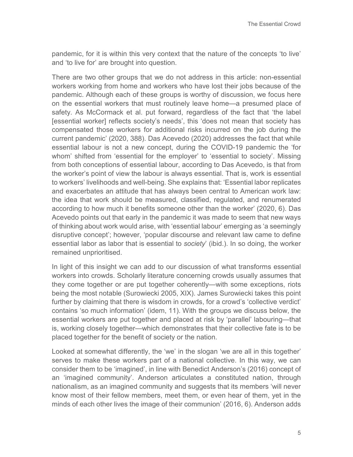pandemic, for it is within this very context that the nature of the concepts 'to live' and 'to live for' are brought into question.

There are two other groups that we do not address in this article: non-essential workers working from home and workers who have lost their jobs because of the pandemic. Although each of these groups is worthy of discussion, we focus here on the essential workers that must routinely leave home—a presumed place of safety. As McCormack et al. put forward, regardless of the fact that 'the label [essential worker] reflects society's needs', this 'does not mean that society has compensated those workers for additional risks incurred on the job during the current pandemic' (2020, 388). Das Acevedo (2020) addresses the fact that while essential labour is not a new concept, during the COVID-19 pandemic the 'for whom' shifted from 'essential for the employer' to 'essential to society'. Missing from both conceptions of essential labour, according to Das Acevedo, is that from the worker's point of view the labour is always essential. That is, work is essential to workers' livelihoods and well-being. She explains that: 'Essential labor replicates and exacerbates an attitude that has always been central to American work law: the idea that work should be measured, classified, regulated, and renumerated according to how much it benefits someone other than the worker' (2020, 6). Das Acevedo points out that early in the pandemic it was made to seem that new ways of thinking about work would arise, with 'essential labour' emerging as 'a seemingly disruptive concept'; however, 'popular discourse and relevant law came to define essential labor as labor that is essential to *society*' (ibid.). In so doing, the worker remained unprioritised.

In light of this insight we can add to our discussion of what transforms essential workers into crowds. Scholarly literature concerning crowds usually assumes that they come together or are put together coherently—with some exceptions, riots being the most notable (Surowiecki 2005, XIX). James Surowiecki takes this point further by claiming that there is wisdom in crowds, for a crowd's 'collective verdict' contains 'so much information' (idem, 11). With the groups we discuss below, the essential workers are put together and placed at risk by 'parallel' labouring—that is, working closely together—which demonstrates that their collective fate is to be placed together for the benefit of society or the nation.

Looked at somewhat differently, the 'we' in the slogan 'we are all in this together' serves to make these workers part of a national collective. In this way, we can consider them to be 'imagined', in line with Benedict Anderson's (2016) concept of an 'imagined community'. Anderson articulates a constituted nation, through nationalism, as an imagined community and suggests that its members 'will never know most of their fellow members, meet them, or even hear of them, yet in the minds of each other lives the image of their communion' (2016, 6). Anderson adds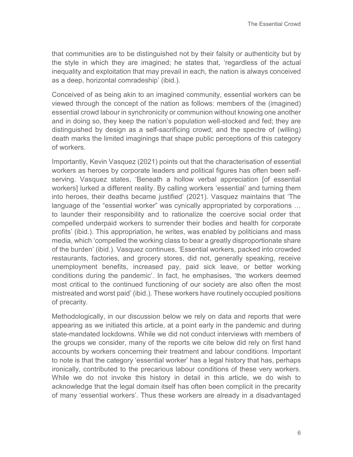that communities are to be distinguished not by their falsity or authenticity but by the style in which they are imagined; he states that, 'regardless of the actual inequality and exploitation that may prevail in each, the nation is always conceived as a deep, horizontal comradeship' (ibid.).

Conceived of as being akin to an imagined community, essential workers can be viewed through the concept of the nation as follows: members of the (imagined) essential crowd labour in synchronicity or communion without knowing one another and in doing so, they keep the nation's population well-stocked and fed; they are distinguished by design as a self-sacrificing crowd; and the spectre of (willing) death marks the limited imaginings that shape public perceptions of this category of workers.

Importantly, Kevin Vasquez (2021) points out that the characterisation of essential workers as heroes by corporate leaders and political figures has often been selfserving. Vasquez states, 'Beneath a hollow verbal appreciation [of essential workers] lurked a different reality. By calling workers 'essential' and turning them into heroes, their deaths became justified' (2021). Vasquez maintains that 'The language of the "essential worker" was cynically appropriated by corporations … to launder their responsibility and to rationalize the coercive social order that compelled underpaid workers to surrender their bodies and health for corporate profits' (ibid.). This appropriation, he writes, was enabled by politicians and mass media, which 'compelled the working class to bear a greatly disproportionate share of the burden' (ibid.). Vasquez continues, 'Essential workers, packed into crowded restaurants, factories, and grocery stores, did not, generally speaking, receive unemployment benefits, increased pay, paid sick leave, or better working conditions during the pandemic'. In fact, he emphasises, 'the workers deemed most critical to the continued functioning of our society are also often the most mistreated and worst paid' (ibid.). These workers have routinely occupied positions of precarity.

Methodologically, in our discussion below we rely on data and reports that were appearing as we initiated this article, at a point early in the pandemic and during state-mandated lockdowns. While we did not conduct interviews with members of the groups we consider, many of the reports we cite below did rely on first hand accounts by workers concerning their treatment and labour conditions. Important to note is that the category 'essential worker' has a legal history that has, perhaps ironically, contributed to the precarious labour conditions of these very workers. While we do not invoke this history in detail in this article, we do wish to acknowledge that the legal domain itself has often been complicit in the precarity of many 'essential workers'. Thus these workers are already in a disadvantaged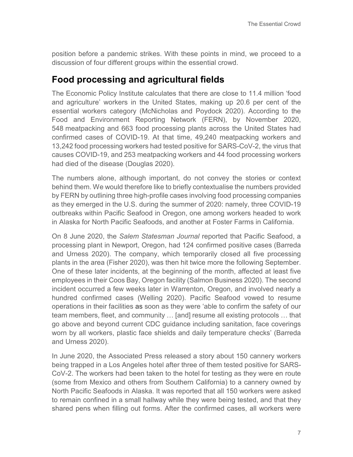position before a pandemic strikes. With these points in mind, we proceed to a discussion of four different groups within the essential crowd.

#### **Food processing and agricultural fields**

The Economic Policy Institute calculates that there are close to 11.4 million 'food and agriculture' workers in the United States, making up 20.6 per cent of the essential workers category (McNicholas and Poydock 2020). According to the Food and Environment Reporting Network (FERN), by November 2020, 548 meatpacking and 663 food processing plants across the United States had confirmed cases of COVID-19. At that time, 49,240 meatpacking workers and 13,242 food processing workers had tested positive for SARS-CoV-2, the virus that causes COVID-19, and 253 meatpacking workers and 44 food processing workers had died of the disease (Douglas 2020).

The numbers alone, although important, do not convey the stories or context behind them. We would therefore like to briefly contextualise the numbers provided by FERN by outlining three high-profile cases involving food processing companies as they emerged in the U.S. during the summer of 2020: namely, three COVID-19 outbreaks within Pacific Seafood in Oregon, one among workers headed to work in Alaska for North Pacific Seafoods, and another at Foster Farms in California.

On 8 June 2020, the *Salem Statesman Journal* reported that Pacific Seafood, a processing plant in Newport, Oregon, had 124 confirmed positive cases (Barreda and Urness 2020). The company, which temporarily closed all five processing plants in the area (Fisher 2020), was then hit twice more the following September. One of these later incidents, at the beginning of the month, affected at least five employees in their Coos Bay, Oregon facility (Salmon Business 2020). The second incident occurred a few weeks later in Warrenton, Oregon, and involved nearly a hundred confirmed cases (Welling 2020). Pacific Seafood vowed to resume operations in their facilities as soon as they were 'able to confirm the safety of our team members, fleet, and community … [and] resume all existing protocols … that go above and beyond current CDC guidance including sanitation, face coverings worn by all workers, plastic face shields and daily temperature checks' (Barreda and Urness 2020).

In June 2020, the Associated Press released a story about 150 cannery workers being trapped in a Los Angeles hotel after three of them tested positive for SARS-CoV-2. The workers had been taken to the hotel for testing as they were en route (some from Mexico and others from Southern California) to a cannery owned by North Pacific Seafoods in Alaska. It was reported that all 150 workers were asked to remain confined in a small hallway while they were being tested, and that they shared pens when filling out forms. After the confirmed cases, all workers were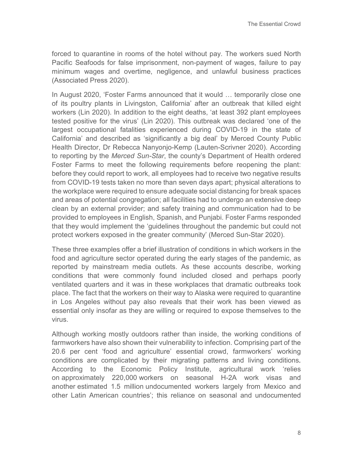forced to quarantine in rooms of the hotel without pay. The workers sued North Pacific Seafoods for false imprisonment, non-payment of wages, failure to pay minimum wages and overtime, negligence, and unlawful business practices (Associated Press 2020).

In August 2020, 'Foster Farms announced that it would … temporarily close one of its poultry plants in Livingston, California' after an outbreak that killed eight workers (Lin 2020). In addition to the eight deaths, 'at least 392 plant employees tested positive for the virus' (Lin 2020). This outbreak was declared 'one of the largest occupational fatalities experienced during COVID-19 in the state of California' and described as 'significantly a big deal' by Merced County Public Health Director, Dr Rebecca Nanyonjo-Kemp (Lauten-Scrivner 2020). According to reporting by the *Merced Sun-Star*, the county's Department of Health ordered Foster Farms to meet the following requirements before reopening the plant: before they could report to work, all employees had to receive two negative results from COVID-19 tests taken no more than seven days apart; physical alterations to the workplace were required to ensure adequate social distancing for break spaces and areas of potential congregation; all facilities had to undergo an extensive deep clean by an external provider; and safety training and communication had to be provided to employees in English, Spanish, and Punjabi. Foster Farms responded that they would implement the 'guidelines throughout the pandemic but could not protect workers exposed in the greater community' (Merced Sun-Star 2020).

These three examples offer a brief illustration of conditions in which workers in the food and agriculture sector operated during the early stages of the pandemic, as reported by mainstream media outlets. As these accounts describe, working conditions that were commonly found included closed and perhaps poorly ventilated quarters and it was in these workplaces that dramatic outbreaks took place. The fact that the workers on their way to Alaska were required to quarantine in Los Angeles without pay also reveals that their work has been viewed as essential only insofar as they are willing or required to expose themselves to the virus.

Although working mostly outdoors rather than inside, the working conditions of farmworkers have also shown their vulnerability to infection. Comprising part of the 20.6 per cent 'food and agriculture' essential crowd, farmworkers' working conditions are complicated by their migrating patterns and living conditions*.*  According to the Economic Policy Institute, agricultural work 'relies on [approximately 220,000](https://www.epi.org/publication/coronavirus-and-farmworkers-h-2a/) workers on seasonal H-2A work visas and another [estimated 1.5 million](http://www.ciw-online.org/fwfactsheet.pdf) undocumented workers largely from Mexico and other Latin American countries'; this reliance on seasonal and undocumented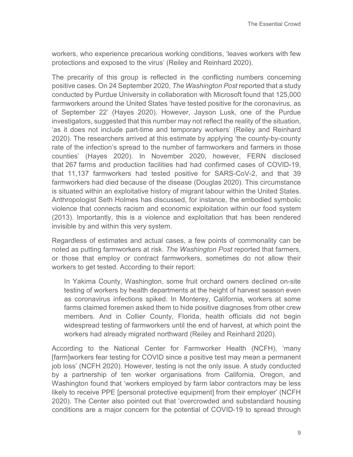workers, who experience precarious working conditions, 'leaves workers with few protections and exposed to the virus' (Reiley and Reinhard 2020).

The precarity of this group is reflected in the conflicting numbers concerning positive cases. On 24 September 2020, *The Washington Post* reported that a study conducted by Purdue University in collaboration with Microsoft found that 125,000 farmworkers around the United States 'have tested positive for the coronavirus, as of September 22' (Hayes 2020). However, Jayson Lusk, one of the Purdue investigators, suggested that this number may not reflect the reality of the situation, 'as it does not include part-time and temporary workers' (Reiley and Reinhard 2020). The researchers arrived at this estimate by applying 'the county-by-county rate of the infection's spread to the number of farmworkers and farmers in those counties' (Hayes 2020). In November 2020, however, FERN disclosed that 267 farms and production facilities had had confirmed cases of COVID-19, that 11,137 farmworkers had tested positive for SARS-CoV-2, and that 39 farmworkers had died because of the disease (Douglas 2020). This circumstance is situated within an exploitative history of migrant labour within the United States. Anthropologist Seth Holmes has discussed, for instance, the embodied symbolic violence that connects racism and economic exploitation within our food system (2013). Importantly, this is a violence and exploitation that has been rendered invisible by and within this very system.

Regardless of estimates and actual cases, a few points of commonality can be noted as putting farmworkers at risk. *The Washington Post* reported that farmers, or those that employ or contract farmworkers, sometimes do not allow their workers to get tested. According to their report:

In Yakima County, Washington, some fruit orchard owners declined on-site testing of workers by health departments at the height of harvest season even as coronavirus infections spiked. In Monterey, California, workers at some farms claimed foremen asked them to hide positive diagnoses from other crew members. And in Collier County, Florida, health officials did not begin widespread testing of farmworkers until the end of harvest, at which point the workers had already migrated northward (Reiley and Reinhard 2020).

According to the National Center for Farmworker Health (NCFH), 'many [farm]workers fear testing for COVID since a positive test may mean a permanent job loss' (NCFH 2020). However, testing is not the only issue. A study conducted by a partnership of ten worker organisations from California, Oregon, and Washington found that 'workers employed by farm labor contractors may be less likely to receive PPE [personal protective equipment] from their employer' (NCFH 2020). The Center also pointed out that 'overcrowded and substandard housing conditions are a major concern for the potential of COVID-19 to spread through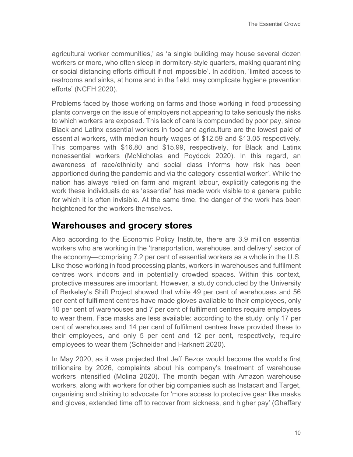agricultural worker communities,' as 'a single building may house several dozen workers or more, who often sleep in dormitory-style quarters, making quarantining or social distancing efforts difficult if not impossible'. In addition, 'limited access to restrooms and sinks, at home and in the field, may complicate hygiene prevention efforts' (NCFH 2020).

Problems faced by those working on farms and those working in food processing plants converge on the issue of employers not appearing to take seriously the risks to which workers are exposed. This lack of care is compounded by poor pay, since Black and Latinx essential workers in food and agriculture are the lowest paid of essential workers, with median hourly wages of \$12.59 and \$13.05 respectively. This compares with \$16.80 and \$15.99, respectively, for Black and Latinx nonessential workers (McNicholas and Poydock 2020). In this regard, an awareness of race/ethnicity and social class informs how risk has been apportioned during the pandemic and via the category 'essential worker'. While the nation has always relied on farm and migrant labour, explicitly categorising the work these individuals do as 'essential' has made work visible to a general public for which it is often invisible. At the same time, the danger of the work has been heightened for the workers themselves.

#### **Warehouses and grocery stores**

Also according to the Economic Policy Institute, there are 3.9 million essential workers who are working in the 'transportation, warehouse, and delivery' sector of the economy—comprising 7.2 per cent of essential workers as a whole in the U.S. Like those working in food processing plants, workers in warehouses and fulfilment centres work indoors and in potentially crowded spaces. Within this context, protective measures are important. However, a study conducted by the University of Berkeley's Shift Project showed that while 49 per cent of warehouses and 56 per cent of fulfilment centres have made gloves available to their employees, only 10 per cent of warehouses and 7 per cent of fulfilment centres require employees to wear them. Face masks are less available: according to the study, only 17 per cent of warehouses and 14 per cent of fulfilment centres have provided these to their employees, and only 5 per cent and 12 per cent, respectively, require employees to wear them (Schneider and Harknett 2020).

In May 2020, as it was projected that Jeff Bezos would become the world's first trillionaire by 2026, complaints about his company's treatment of warehouse workers intensified (Molina 2020). The month began with Amazon warehouse workers, along with workers for other big companies such as Instacart and Target, organising and striking to advocate for 'more access to protective gear like masks and gloves, extended time off to recover from sickness, and higher pay' (Ghaffary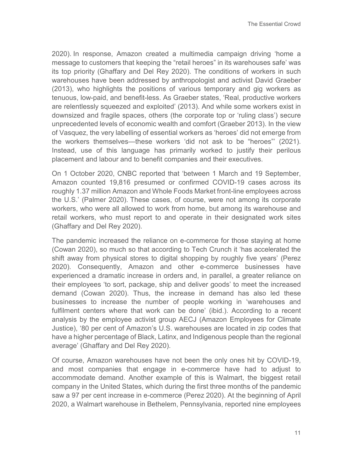2020). In response, Amazon created a multimedia campaign driving 'home a message to customers that keeping the "retail heroes" in its warehouses safe' was its top priority (Ghaffary and Del Rey 2020). The conditions of workers in such warehouses have been addressed by anthropologist and activist David Graeber (2013), who highlights the positions of various temporary and gig workers as tenuous, low-paid, and benefit-less. As Graeber states, 'Real, productive workers are relentlessly squeezed and exploited' (2013). And while some workers exist in downsized and fragile spaces, others (the corporate top or 'ruling class') secure unprecedented levels of economic wealth and comfort (Graeber 2013). In the view of Vasquez, the very labelling of essential workers as 'heroes' did not emerge from the workers themselves—these workers 'did not ask to be "heroes"' (2021). Instead, use of this language has primarily worked to justify their perilous placement and labour and to benefit companies and their executives.

On 1 October 2020, CNBC reported that 'between 1 March and 19 September, Amazon counted 19,816 presumed or confirmed COVID-19 cases across its roughly 1.37 million Amazon and Whole Foods Market front-line employees across the U.S.' (Palmer 2020). These cases, of course, were not among its corporate workers, who were all allowed to work from home, but among its warehouse and retail workers, who must report to and operate in their designated work sites (Ghaffary and Del Rey 2020).

The pandemic increased the reliance on e-commerce for those staying at home (Cowan 2020), so much so that according to Tech Crunch it 'has accelerated the shift away from physical stores to digital shopping by roughly five years' (Perez 2020). Consequently, Amazon and other e-commerce businesses have experienced a dramatic increase in orders and, in parallel, a greater reliance on their employees 'to sort, package, ship and deliver goods' to meet the increased demand (Cowan 2020). Thus, the increase in demand has also led these businesses to increase the number of people working in 'warehouses and fulfilment centers where that work can be done' (ibid.). According to a recent analysis by the employee activist group AECJ (Amazon Employees for Climate Justice), '80 per cent of Amazon's U.S. warehouses are located in zip codes that have a higher percentage of Black, Latinx, and Indigenous people than the regional average' (Ghaffary and Del Rey 2020).

Of course, Amazon warehouses have not been the only ones hit by COVID-19, and most companies that engage in e-commerce have had to adjust to accommodate demand. Another example of this is Walmart, the biggest retail company in the United States, which during the first three months of the pandemic saw a 97 per cent increase in e-commerce (Perez 2020). At the beginning of April 2020, a Walmart warehouse in Bethelem, Pennsylvania, reported nine employees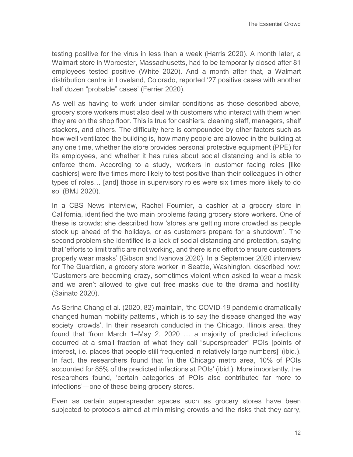testing positive for the virus in less than a week (Harris 2020). A month later, a Walmart store in Worcester, Massachusetts, had to be temporarily closed after 81 employees tested positive (White 2020). And a month after that, a Walmart distribution centre in Loveland, Colorado, reported '27 positive cases with another half dozen "probable" cases' (Ferrier 2020).

As well as having to work under similar conditions as those described above, grocery store workers must also deal with customers who interact with them when they are on the shop floor. This is true for cashiers, cleaning staff, managers, shelf stackers, and others. The difficulty here is compounded by other factors such as how well ventilated the building is, how many people are allowed in the building at any one time, whether the store provides personal protective equipment (PPE) for its employees, and whether it has rules about social distancing and is able to enforce them. According to a study, 'workers in customer facing roles [like cashiers] were five times more likely to test positive than their colleagues in other types of roles… [and] those in supervisory roles were six times more likely to do so' (BMJ 2020).

In a CBS News interview, Rachel Fournier, a cashier at a grocery store in California, identified the two main problems facing grocery store workers. One of these is crowds: she described how 'stores are getting more crowded as people stock up ahead of the holidays, or as customers prepare for a shutdown'. The second problem she identified is a lack of social distancing and protection, saying that 'efforts to limit traffic are not working, and there is no effort to ensure customers properly wear masks' (Gibson and Ivanova 2020). In a September 2020 interview for The Guardian, a grocery store worker in Seattle, Washington, described how: 'Customers are becoming crazy, sometimes violent when asked to wear a mask and we aren't allowed to give out free masks due to the drama and hostility' (Sainato 2020).

As Serina Chang et al. (2020, 82) maintain, 'the COVID-19 pandemic dramatically changed human mobility patterns', which is to say the disease changed the way society 'crowds'. In their research conducted in the Chicago, Illinois area, they found that 'from March 1–May 2, 2020 … a majority of predicted infections occurred at a small fraction of what they call "superspreader" POIs [points of interest, i.e. places that people still frequented in relatively large numbers]' (ibid.). In fact, the researchers found that 'in the Chicago metro area, 10% of POIs accounted for 85% of the predicted infections at POIs' (ibid.). More importantly, the researchers found, 'certain categories of POIs also contributed far more to infections'—one of these being grocery stores.

Even as certain superspreader spaces such as grocery stores have been subjected to protocols aimed at minimising crowds and the risks that they carry,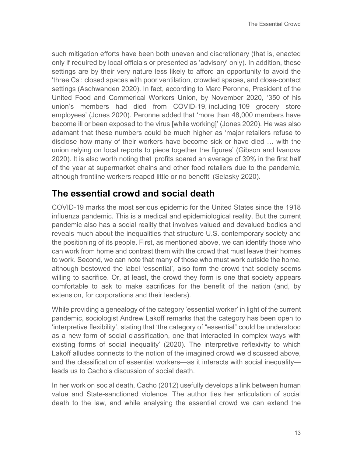such mitigation efforts have been both uneven and discretionary (that is, enacted only if required by local officials or presented as 'advisory' only). In addition, these settings are by their very nature less likely to afford an opportunity to avoid the 'three Cs': closed spaces with poor ventilation, crowded spaces, and close-contact settings (Aschwanden 2020). In fact, according to Marc Peronne, President of the United Food and Commerical Workers Union, by November 2020, '350 of his union's members had died from COVID-19, including 109 grocery store employees' (Jones 2020). Peronne added that 'more than 48,000 members have become ill or been exposed to the virus [while working]' (Jones 2020). He was also adamant that these numbers could be much higher as 'major retailers refuse to disclose how many of their workers have become sick or have died … with the union relying on local reports to piece together the figures' (Gibson and Ivanova 2020). It is also worth noting that 'profits soared an average of 39% in the first half of the year at supermarket chains and other food retailers due to the pandemic, although frontline workers reaped little or no benefit' (Selasky 2020).

#### **The essential crowd and social death**

COVID-19 marks the most serious epidemic for the United States since the 1918 influenza pandemic. This is a medical and epidemiological reality. But the current pandemic also has a social reality that involves valued and devalued bodies and reveals much about the inequalities that structure U.S. contemporary society and the positioning of its people. First, as mentioned above, we can identify those who can work from home and contrast them with the crowd that must leave their homes to work. Second, we can note that many of those who must work outside the home, although bestowed the label 'essential', also form the crowd that society seems willing to sacrifice. Or, at least, the crowd they form is one that society appears comfortable to ask to make sacrifices for the benefit of the nation (and, by extension, for corporations and their leaders).

While providing a genealogy of the category 'essential worker' in light of the current pandemic, sociologist Andrew Lakoff remarks that the category has been open to 'interpretive flexibility', stating that 'the category of "essential" could be understood as a new form of social classification, one that interacted in complex ways with existing forms of social inequality' (2020). The interpretive reflexivity to which Lakoff alludes connects to the notion of the imagined crowd we discussed above, and the classification of essential workers—as it interacts with social inequality leads us to Cacho's discussion of social death.

In her work on social death, Cacho (2012) usefully develops a link between human value and State-sanctioned violence. The author ties her articulation of social death to the law, and while analysing the essential crowd we can extend the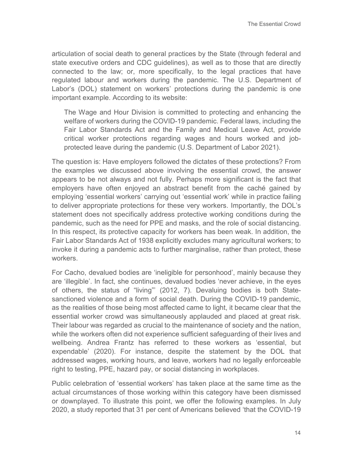articulation of social death to general practices by the State (through federal and state executive orders and CDC guidelines), as well as to those that are directly connected to the law; or, more specifically, to the legal practices that have regulated labour and workers during the pandemic. The U.S. Department of Labor's (DOL) statement on workers' protections during the pandemic is one important example. According to its website:

The Wage and Hour Division is committed to protecting and enhancing the welfare of workers during the COVID-19 pandemic. Federal laws, including the Fair Labor Standards Act and the Family and Medical Leave Act, provide critical worker protections regarding wages and hours worked and jobprotected leave during the pandemic (U.S. Department of Labor 2021).

The question is: Have employers followed the dictates of these protections? From the examples we discussed above involving the essential crowd, the answer appears to be not always and not fully. Perhaps more significant is the fact that employers have often enjoyed an abstract benefit from the caché gained by employing 'essential workers' carrying out 'essential work' while in practice failing to deliver appropriate protections for these very workers. Importantly, the DOL's statement does not specifically address protective working conditions during the pandemic, such as the need for PPE and masks, and the role of social distancing. In this respect, its protective capacity for workers has been weak. In addition, the Fair Labor Standards Act of 1938 explicitly excludes many agricultural workers; to invoke it during a pandemic acts to further marginalise, rather than protect, these workers.

For Cacho, devalued bodies are 'ineligible for personhood', mainly because they are 'illegible'. In fact, she continues, devalued bodies 'never achieve, in the eyes of others, the status of "living"' (2012, 7). Devaluing bodies is both Statesanctioned violence and a form of social death. During the COVID-19 pandemic, as the realities of those being most affected came to light, it became clear that the essential worker crowd was simultaneously applauded and placed at great risk. Their labour was regarded as crucial to the maintenance of society and the nation, while the workers often did not experience sufficient safeguarding of their lives and wellbeing. Andrea Frantz has referred to these workers as 'essential, but expendable' (2020). For instance, despite the statement by the DOL that addressed wages, working hours, and leave, workers had no legally enforceable right to testing, PPE, hazard pay, or social distancing in workplaces.

Public celebration of 'essential workers' has taken place at the same time as the actual circumstances of those working within this category have been dismissed or downplayed. To illustrate this point, we offer the following examples. In July 2020, a study reported that 31 per cent of Americans believed 'that the COVID-19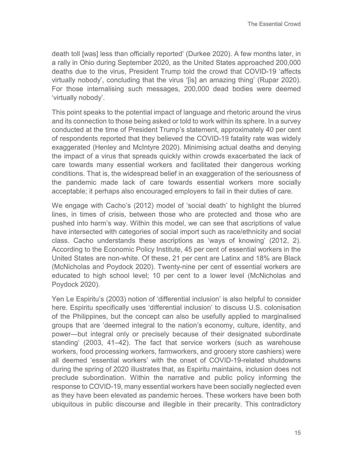death toll [was] less than officially reported' (Durkee 2020). A few months later, in a rally in Ohio during September 2020, as the United States approached 200,000 deaths due to the virus, President Trump told the crowd that COVID-19 'affects virtually nobody', concluding that the virus '[is] an amazing thing' (Rupar 2020). For those internalising such messages, 200,000 dead bodies were deemed 'virtually nobody'.

This point speaks to the potential impact of language and rhetoric around the virus and its connection to those being asked or told to work within its sphere. In a survey conducted at the time of President Trump's statement, approximately 40 per cent of respondents reported that they believed the COVID-19 fatality rate was widely exaggerated (Henley and McIntyre 2020). Minimising actual deaths and denying the impact of a virus that spreads quickly within crowds exacerbated the lack of care towards many essential workers and facilitated their dangerous working conditions. That is, the widespread belief in an exaggeration of the seriousness of the pandemic made lack of care towards essential workers more socially acceptable; it perhaps also encouraged employers to fail in their duties of care.

We engage with Cacho's (2012) model of 'social death' to highlight the blurred lines, in times of crisis, between those who are protected and those who are pushed into harm's way. Within this model, we can see that ascriptions of value have intersected with categories of social import such as race/ethnicity and social class. Cacho understands these ascriptions as 'ways of knowing' (2012, 2). According to the Economic Policy Institute, 45 per cent of essential workers in the United States are non-white. Of these, 21 per cent are Latinx and 18% are Black (McNicholas and Poydock 2020). Twenty-nine per cent of essential workers are educated to high school level; 10 per cent to a lower level (McNicholas and Poydock 2020).

Yen Le Espiritu's (2003) notion of 'differential inclusion' is also helpful to consider here. Espiritu specifically uses 'differential inclusion' to discuss U.S. colonisation of the Philippines, but the concept can also be usefully applied to marginalised groups that are 'deemed integral to the nation's economy, culture, identity, and power—but integral only or precisely because of their designated subordinate standing' (2003, 41–42). The fact that service workers (such as warehouse workers, food processing workers, farmworkers, and grocery store cashiers) were all deemed 'essential workers' with the onset of COVID-19-related shutdowns during the spring of 2020 illustrates that, as Espiritu maintains, inclusion does not preclude subordination. Within the narrative and public policy informing the response to COVID-19, many essential workers have been socially neglected even as they have been elevated as pandemic heroes. These workers have been both ubiquitous in public discourse and illegible in their precarity. This contradictory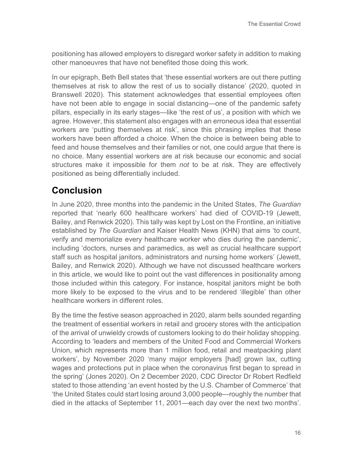positioning has allowed employers to disregard worker safety in addition to making other manoeuvres that have not benefited those doing this work.

In our epigraph, Beth Bell states that 'these essential workers are out there putting themselves at risk to allow the rest of us to socially distance' (2020, quoted in Branswell 2020). This statement acknowledges that essential employees often have not been able to engage in social distancing—one of the pandemic safety pillars, especially in its early stages—like 'the rest of us', a position with which we agree. However, this statement also engages with an erroneous idea that essential workers are 'putting themselves at risk', since this phrasing implies that these workers have been afforded a choice. When the choice is between being able to feed and house themselves and their families or not, one could argue that there is no choice. Many essential workers are at risk because our economic and social structures make it impossible for them *not* to be at risk. They are effectively positioned as being differentially included.

### **Conclusion**

In June 2020, three months into the pandemic in the United States, *The Guardian* reported that 'nearly 600 healthcare workers' had died of COVID-19 (Jewett, Bailey, and Renwick 2020). This tally was kept by Lost on the Frontline, an initiative established by *The Guardian* and Kaiser Health News (KHN) that aims 'to count, verify and memorialize every healthcare worker who dies during the pandemic', including 'doctors, nurses and paramedics, as well as crucial healthcare support staff such as hospital janitors, administrators and nursing home workers' (Jewett, Bailey, and Renwick 2020). Although we have not discussed healthcare workers in this article, we would like to point out the vast differences in positionality among those included within this category. For instance, hospital janitors might be both more likely to be exposed to the virus and to be rendered 'illegible' than other healthcare workers in different roles

By the time the festive season approached in 2020, alarm bells sounded regarding the treatment of essential workers in retail and grocery stores with the anticipation of the arrival of unwieldy crowds of customers looking to do their holiday shopping. According to 'leaders and members of the United Food and Commercial Workers Union, which represents more than 1 million food, retail and meatpacking plant workers', by November 2020 'many major employers [had] grown lax, cutting wages and protections put in place when the coronavirus first began to spread in the spring' (Jones 2020). On 2 December 2020, CDC Director Dr Robert Redfield stated to those attending 'an event hosted by the U.S. Chamber of Commerce' that 'the United States could start losing around 3,000 people—roughly the number that died in the attacks of September 11, 2001—each day over the next two months'.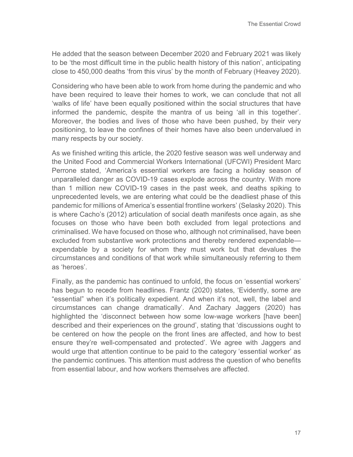He added that the season between December 2020 and February 2021 was likely to be 'the most difficult time in the public health history of this nation', anticipating close to 450,000 deaths 'from this virus' by the month of February (Heavey 2020).

Considering who have been able to work from home during the pandemic and who have been required to leave their homes to work, we can conclude that not all 'walks of life' have been equally positioned within the social structures that have informed the pandemic, despite the mantra of us being 'all in this together'. Moreover, the bodies and lives of those who have been pushed, by their very positioning, to leave the confines of their homes have also been undervalued in many respects by our society.

As we finished writing this article, the 2020 festive season was well underway and the United Food and Commercial Workers International (UFCWI) President Marc Perrone stated, 'America's essential workers are facing a holiday season of unparalleled danger as COVID-19 cases explode across the country. With more than 1 million new COVID-19 cases in the past week, and deaths spiking to unprecedented levels, we are entering what could be the deadliest phase of this pandemic for millions of America's essential frontline workers' (Selasky 2020). This is where Cacho's (2012) articulation of social death manifests once again, as she focuses on those who have been both excluded from legal protections and criminalised. We have focused on those who, although not criminalised, have been excluded from substantive work protections and thereby rendered expendable expendable by a society for whom they must work but that devalues the circumstances and conditions of that work while simultaneously referring to them as 'heroes'.

Finally, as the pandemic has continued to unfold, the focus on 'essential workers' has begun to recede from headlines. Frantz (2020) states, 'Evidently, some are "essential" when it's politically expedient. And when it's not, well, the label and circumstances can change dramatically'. And Zachary Jaggers (2020) has highlighted the 'disconnect between how some low-wage workers [have been] described and their experiences on the ground', stating that 'discussions ought to be centered on how the people on the front lines are affected, and how to best ensure they're well-compensated and protected'. We agree with Jaggers and would urge that attention continue to be paid to the category 'essential worker' as the pandemic continues. This attention must address the question of who benefits from essential labour, and how workers themselves are affected.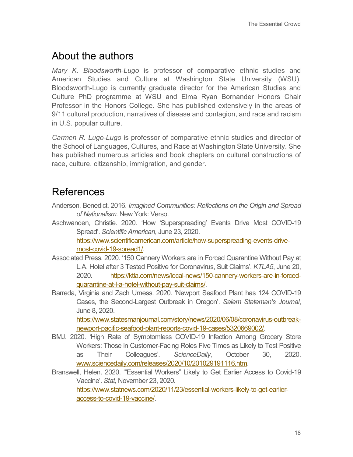## About the authors

*Mary K. Bloodsworth-Lugo* is professor of comparative ethnic studies and American Studies and Culture at Washington State University (WSU). Bloodsworth-Lugo is currently graduate director for the American Studies and Culture PhD programme at WSU and Elma Ryan Bornander Honors Chair Professor in the Honors College. She has published extensively in the areas of 9/11 cultural production, narratives of disease and contagion, and race and racism in U.S. popular culture.

*Carmen R. Lugo-Lugo* is professor of comparative ethnic studies and director of the School of Languages, Cultures, and Race at Washington State University. She has published numerous articles and book chapters on cultural constructions of race, culture, citizenship, immigration, and gender.

## References

- Anderson, Benedict. 2016. *Imagined Communities: Reflections on the Origin and Spread of Nationalism.* New York: Verso.
- Aschwanden, Christie. 2020. 'How 'Superspreading' Events Drive Most COVID-19 Spread'. *Scientific American*, June 23, 2020. [https://www.scientificamerican.com/article/how-superspreading-events-drive](https://www.scientificamerican.com/article/how-superspreading-events-drive-most-covid-19-spread1/)[most-covid-19-spread1/.](https://www.scientificamerican.com/article/how-superspreading-events-drive-most-covid-19-spread1/)
- Associated Press. 2020. '150 Cannery Workers are in Forced Quarantine Without Pay at L.A. Hotel after 3 Tested Positive for Coronavirus, Suit Claims'. *KTLA5*, June 20, 2020. [https://ktla.com/news/local-news/150-cannery-workers-are-in-forced](https://ktla.com/news/local-news/150-cannery-workers-are-in-forced-quarantine-at-l-a-hotel-without-pay-suit-claims/)[quarantine-at-l-a-hotel-without-pay-suit-claims/.](https://ktla.com/news/local-news/150-cannery-workers-are-in-forced-quarantine-at-l-a-hotel-without-pay-suit-claims/)
- Barreda, Virginia and Zach Urness. 2020. 'Newport Seafood Plant has 124 COVID-19 Cases, the Second-Largest Outbreak in Oregon'. *Salem Stateman's Journal*, June 8, 2020.

[https://www.statesmanjournal.com/story/news/2020/06/08/coronavirus-outbreak](https://www.statesmanjournal.com/story/news/2020/06/08/coronavirus-outbreak-newport-pacific-seafood-plant-reports-covid-19-cases/5320669002/)[newport-pacific-seafood-plant-reports-covid-19-cases/5320669002/.](https://www.statesmanjournal.com/story/news/2020/06/08/coronavirus-outbreak-newport-pacific-seafood-plant-reports-covid-19-cases/5320669002/)

- BMJ. 2020. 'High Rate of Symptomless COVID-19 Infection Among Grocery Store Workers: Those in Customer-Facing Roles Five Times as Likely to Test Positive as Their Colleagues'. *ScienceDaily*, October 30, 2020. www.sciencedaily.com/releases/2020/10/201029191116.htm.
- Branswell, Helen. 2020. '"Essential Workers" Likely to Get Earlier Access to Covid-19 Vaccine'. *Stat*, November 23, 2020.

[https://www.statnews.com/2020/11/23/essential-workers-likely-to-get-earlier](https://www.statnews.com/2020/11/23/essential-workers-likely-to-get-earlier-access-to-covid-19-vaccine/)[access-to-covid-19-vaccine/.](https://www.statnews.com/2020/11/23/essential-workers-likely-to-get-earlier-access-to-covid-19-vaccine/)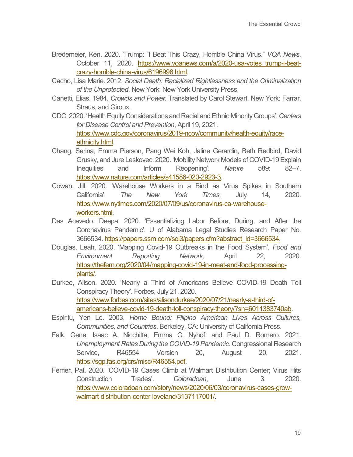- Bredemeier, Ken. 2020. 'Trump: "I Beat This Crazy, Horrible China Virus." *VOA News*, October 11, 2020. https://www.voanews.com/a/2020-usa-votes trump-i-beat[crazy-horrible-china-virus/6196998.html.](https://www.voanews.com/a/2020-usa-votes_trump-i-beat-crazy-horrible-china-virus/6196998.html)
- Cacho, Lisa Marie. 2012. *Social Death: Racialized Rightlessness and the Criminalization of the Unprotected*. New York: New York University Press.
- Canetti, Elias. 1984. *Crowds and Power*. Translated by Carol Stewart. New York: Farrar, Straus, and Giroux.
- CDC. 2020. 'Health Equity Considerations and Racial and Ethnic Minority Groups'. *Centers for Disease Control and Prevention*, April 19, 2021. [https://www.cdc.gov/coronavirus/2019-ncov/community/health-equity/race](https://www.cdc.gov/coronavirus/2019-ncov/community/health-equity/race-ethnicity.html)[ethnicity.html.](https://www.cdc.gov/coronavirus/2019-ncov/community/health-equity/race-ethnicity.html)
- Chang, Serina, Emma Pierson, Pang Wei Koh, Jaline Gerardin, Beth Redbird, David Grusky, and Jure Leskovec. 2020. 'Mobility Network Models of COVID-19 Explain Inequities and Inform Reopening'. *Nature* 589: 82–7. [https://www.nature.com/articles/s41586-020-2923-3.](https://www.nature.com/articles/s41586-020-2923-3)
- Cowan, Jill. 2020. 'Warehouse Workers in a Bind as Virus Spikes in Southern California'. *The New York Times*, July 14, 2020. [https://www.nytimes.com/2020/07/09/us/coronavirus-ca-warehouse](https://www.nytimes.com/2020/07/09/us/coronavirus-ca-warehouse-workers.html)[workers.html.](https://www.nytimes.com/2020/07/09/us/coronavirus-ca-warehouse-workers.html)
- Das Acevedo, Deepa. 2020. 'Essentializing Labor Before, During, and After the Coronavirus Pandemic'. U of Alabama Legal Studies Research Paper No. 3666534[. https://papers.ssrn.com/sol3/papers.cfm?abstract\\_id=3666534.](https://papers.ssrn.com/sol3/papers.cfm?abstract_id=3666534)
- Douglas, Leah. 2020. 'Mapping Covid-19 Outbreaks in the Food System'. *Food and Environment Reporting Network*, April 22, 2020. [https://thefern.org/2020/04/mapping-covid-19-in-meat-and-food-processing](https://thefern.org/2020/04/mapping-covid-19-in-meat-and-food-processing-plants/)[plants/.](https://thefern.org/2020/04/mapping-covid-19-in-meat-and-food-processing-plants/)
- Durkee, Alison. 2020. 'Nearly a Third of Americans Believe COVID-19 Death Toll Conspiracy Theory'. Forbes, July 21, 2020. [https://www.forbes.com/sites/alisondurkee/2020/07/21/nearly-a-third-of](https://www.forbes.com/sites/alisondurkee/2020/07/21/nearly-a-third-of-americans-believe-covid-19-death-toll-conspiracy-theory/?sh=6011383740ab)[americans-believe-covid-19-death-toll-conspiracy-theory/?sh=6011383740ab.](https://www.forbes.com/sites/alisondurkee/2020/07/21/nearly-a-third-of-americans-believe-covid-19-death-toll-conspiracy-theory/?sh=6011383740ab)
- Espiritu, Yen Le. 2003. *Home Bound: Filipino American Lives Across Cultures, Communities, and Countries*. Berkeley, CA: University of California Press.
- Falk, Gene, Isaac A. Nicchitta, Emma C. Nyhof, and Paul D. Romero. 2021. *Unemployment Rates During the COVID-19 Pandemic*. Congressional Research Service, R46554 Version 20, August 20, 2021. [https://sgp.fas.org/crs/misc/R46554.pdf.](https://sgp.fas.org/crs/misc/R46554.pdf)
- Ferrier, Pat. 2020. 'COVID-19 Cases Climb at Walmart Distribution Center; Virus Hits Construction Trades'. *Coloradoan*, June 3, 2020. [https://www.coloradoan.com/story/news/2020/06/03/coronavirus-cases-grow](https://www.coloradoan.com/story/news/2020/06/03/coronavirus-cases-grow-walmart-distribution-center-loveland/3137117001/)[walmart-distribution-center-loveland/3137117001/.](https://www.coloradoan.com/story/news/2020/06/03/coronavirus-cases-grow-walmart-distribution-center-loveland/3137117001/)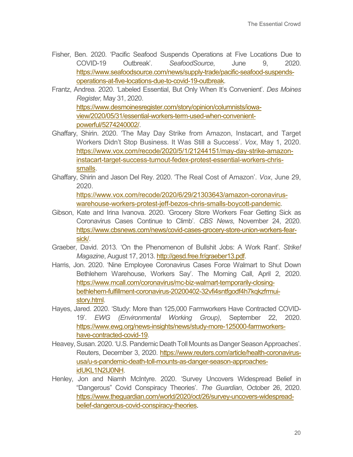- Fisher, Ben. 2020. 'Pacific Seafood Suspends Operations at Five Locations Due to COVID-19 Outbreak'. *SeafoodSource*, June 9, 2020. [https://www.seafoodsource.com/news/supply-trade/pacific-seafood-suspends](https://www.seafoodsource.com/news/supply-trade/pacific-seafood-suspends-operations-at-five-locations-due-to-covid-19-outbreak)[operations-at-five-locations-due-to-covid-19-outbreak.](https://www.seafoodsource.com/news/supply-trade/pacific-seafood-suspends-operations-at-five-locations-due-to-covid-19-outbreak)
- Frantz, Andrea. 2020. 'Labeled Essential, But Only When It's Convenient'. *Des Moines Register,* May 31, 2020. [https://www.desmoinesregister.com/story/opinion/columnists/iowa](https://www.desmoinesregister.com/story/opinion/columnists/iowa-view/2020/05/31/essential-workers-term-used-when-convenient-powerful/5274240002/)[view/2020/05/31/essential-workers-term-used-when-convenient](https://www.desmoinesregister.com/story/opinion/columnists/iowa-view/2020/05/31/essential-workers-term-used-when-convenient-powerful/5274240002/)[powerful/5274240002/.](https://www.desmoinesregister.com/story/opinion/columnists/iowa-view/2020/05/31/essential-workers-term-used-when-convenient-powerful/5274240002/)
- Ghaffary, Shirin. 2020. 'The May Day Strike from Amazon, Instacart, and Target Workers Didn't Stop Business. It Was Still a Success'. *Vox*, May 1, 2020. [https://www.vox.com/recode/2020/5/1/21244151/may-day-strike-amazon](https://www.vox.com/recode/2020/5/1/21244151/may-day-strike-amazon-instacart-target-success-turnout-fedex-protest-essential-workers-chris-smalls)[instacart-target-success-turnout-fedex-protest-essential-workers-chris](https://www.vox.com/recode/2020/5/1/21244151/may-day-strike-amazon-instacart-target-success-turnout-fedex-protest-essential-workers-chris-smalls)[smalls.](https://www.vox.com/recode/2020/5/1/21244151/may-day-strike-amazon-instacart-target-success-turnout-fedex-protest-essential-workers-chris-smalls)
- Ghaffary, Shirin and Jason Del Rey. 2020. 'The Real Cost of Amazon'. *Vox*, June 29, 2020.

[https://www.vox.com/recode/2020/6/29/21303643/amazon-coronavirus](https://www.vox.com/recode/2020/6/29/21303643/amazon-coronavirus-warehouse-workers-protest-jeff-bezos-chris-smalls-boycott-pandemic)[warehouse-workers-protest-jeff-bezos-chris-smalls-boycott-pandemic.](https://www.vox.com/recode/2020/6/29/21303643/amazon-coronavirus-warehouse-workers-protest-jeff-bezos-chris-smalls-boycott-pandemic)

- Gibson, Kate and Irina Ivanova. 2020. 'Grocery Store Workers Fear Getting Sick as Coronavirus Cases Continue to Climb'. *CBS News*, November 24, 2020. [https://www.cbsnews.com/news/covid-cases-grocery-store-union-workers-fear](https://www.cbsnews.com/news/covid-cases-grocery-store-union-workers-fear-sick/)[sick/.](https://www.cbsnews.com/news/covid-cases-grocery-store-union-workers-fear-sick/)
- Graeber, David. 2013. 'On the Phenomenon of Bullshit Jobs: A Work Rant'. *Strike! Magazine*, August 17, 2013. [http://gesd.free.fr/graeber13.pdf.](http://gesd.free.fr/graeber13.pdf)
- Harris, Jon. 2020. 'Nine Employee Coronavirus Cases Force Walmart to Shut Down Bethlehem Warehouse, Workers Say'. The Morning Call, April 2, 2020. [https://www.mcall.com/coronavirus/mc-biz-walmart-temporarily-closing](https://www.mcall.com/coronavirus/mc-biz-walmart-temporarily-closing-bethlehem-fulfillment-coronavirus-20200402-32vfi4sntfgodf4h7kqkzfrmui-story.html)[bethlehem-fulfillment-coronavirus-20200402-32vfi4sntfgodf4h7kqkzfrmui](https://www.mcall.com/coronavirus/mc-biz-walmart-temporarily-closing-bethlehem-fulfillment-coronavirus-20200402-32vfi4sntfgodf4h7kqkzfrmui-story.html)[story.html.](https://www.mcall.com/coronavirus/mc-biz-walmart-temporarily-closing-bethlehem-fulfillment-coronavirus-20200402-32vfi4sntfgodf4h7kqkzfrmui-story.html)
- Hayes, Jared. 2020. 'Study: More than 125,000 Farmworkers Have Contracted COVID-19'. *EWG (Environmental Working Group)*, September 22, 2020. [https://www.ewg.org/news-insights/news/study-more-125000-farmworkers](https://www.ewg.org/news-insights/news/study-more-125000-farmworkers-have-contracted-covid-19)[have-contracted-covid-19.](https://www.ewg.org/news-insights/news/study-more-125000-farmworkers-have-contracted-covid-19)
- Heavey, Susan. 2020. 'U.S. Pandemic Death Toll Mounts as Danger Season Approaches'. Reuters, December 3, 2020. [https://www.reuters.com/article/health-coronavirus](https://www.reuters.com/article/health-coronavirus-usa/u-s-pandemic-death-toll-mounts-as-danger-season-approaches-idUKL1N2IJ0NH)[usa/u-s-pandemic-death-toll-mounts-as-danger-season-approaches](https://www.reuters.com/article/health-coronavirus-usa/u-s-pandemic-death-toll-mounts-as-danger-season-approaches-idUKL1N2IJ0NH)[idUKL1N2IJ0NH.](https://www.reuters.com/article/health-coronavirus-usa/u-s-pandemic-death-toll-mounts-as-danger-season-approaches-idUKL1N2IJ0NH)
- Henley, Jon and Niamh McIntyre. 2020. 'Survey Uncovers Widespread Belief in "Dangerous" Covid Conspiracy Theories'. *The Guardian*, October 26, 2020. [https://www.theguardian.com/world/2020/oct/26/survey-uncovers-widespread](https://www.theguardian.com/world/2020/oct/26/survey-uncovers-widespread-belief-dangerous-covid-conspiracy-theories)[belief-dangerous-covid-conspiracy-theories.](https://www.theguardian.com/world/2020/oct/26/survey-uncovers-widespread-belief-dangerous-covid-conspiracy-theories)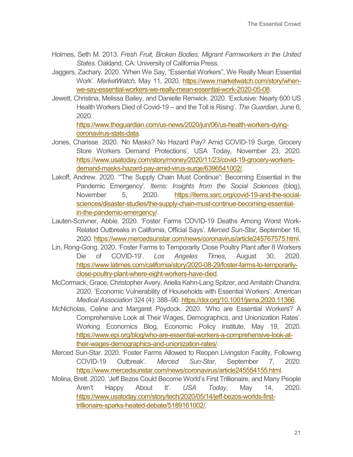- Holmes, Seth M. 2013. *Fresh Fruit, Broken Bodies: Migrant Farmworkers in the United States*. Oakland, CA: University of California Press.
- Jaggers, Zachary. 2020. 'When We Say, "Essential Workers", We Really Mean Essential Work'. *MarketWatch,* May 11, 2020. [https://www.marketwatch.com/story/when](https://www.marketwatch.com/story/when-we-say-essential-workers-we-really-mean-essential-work-2020-05-08)[we-say-essential-workers-we-really-mean-essential-work-2020-05-08.](https://www.marketwatch.com/story/when-we-say-essential-workers-we-really-mean-essential-work-2020-05-08)
- Jewett, Christina, Melissa Bailey, and Danielle Renwick. 2020. 'Exclusive: Nearly 600 US Health Workers Died of Covid-19 – and the Toll is Rising'. *The Guardian*, June 6, 2020.

[https://www.theguardian.com/us-news/2020/jun/06/us-health-workers-dying](https://www.theguardian.com/us-news/2020/jun/06/us-health-workers-dying-coronavirus-stats-data)[coronavirus-stats-data.](https://www.theguardian.com/us-news/2020/jun/06/us-health-workers-dying-coronavirus-stats-data)

- Jones, Charisse. 2020. 'No Masks? No Hazard Pay? Amid COVID-19 Surge, Grocery Store Workers Demand Protections'. USA Today, November 23, 2020. [https://www.usatoday.com/story/money/2020/11/23/covid-19-grocery-workers](https://www.usatoday.com/story/money/2020/11/23/covid-19-grocery-workers-demand-masks-hazard-pay-amid-virus-surge/6396541002/)[demand-masks-hazard-pay-amid-virus-surge/6396541002/.](https://www.usatoday.com/story/money/2020/11/23/covid-19-grocery-workers-demand-masks-hazard-pay-amid-virus-surge/6396541002/)
- Lakoff, Andrew. 2020. '"The Supply Chain Must Continue": Becoming Essential in the Pandemic Emergency'. *Items: Insights from the Social Sciences* (blog), November 5, 2020. [https://items.ssrc.org/covid-19-and-the-social](https://items.ssrc.org/covid-19-and-the-social-sciences/disaster-studies/the-supply-chain-must-continue-becoming-essential-in-the-pandemic-emergency/)[sciences/disaster-studies/the-supply-chain-must-continue-becoming-essential](https://items.ssrc.org/covid-19-and-the-social-sciences/disaster-studies/the-supply-chain-must-continue-becoming-essential-in-the-pandemic-emergency/)[in-the-pandemic-emergency/.](https://items.ssrc.org/covid-19-and-the-social-sciences/disaster-studies/the-supply-chain-must-continue-becoming-essential-in-the-pandemic-emergency/)
- Lauten-Scrivner, Abbie. 2020. 'Foster Farms COVID-19 Deaths Among Worst Work-Related Outbreaks in California, Official Says'. *Merced Sun-Star*, September 16, 2020. [https://www.mercedsunstar.com/news/coronavirus/article245767575.html.](https://www.mercedsunstar.com/news/coronavirus/article245767575.html)
- Lin, Rong-Gong. 2020. 'Foster Farms to Temporarily Close Poultry Plant after 8 Workers Die of COVID-19'. *Los Angeles Times*, August 30, 2020. [https://www.latimes.com/california/story/2020-08-29/foster-farms-to-temporarily](https://www.latimes.com/california/story/2020-08-29/foster-farms-to-temporarily-close-poultry-plant-where-eight-workers-have-died)[close-poultry-plant-where-eight-workers-have-died.](https://www.latimes.com/california/story/2020-08-29/foster-farms-to-temporarily-close-poultry-plant-where-eight-workers-have-died)
- McCormack, Grace, Christopher Avery, Ariella Kahn-Lang Spitzer, and Amitabh Chandra. 2020. 'Economic Vulnerability of Households with Essential Workers'. *American Medical Association* 324 (4): 388–90. [https://doi.org/10.1001/jama.2020.11366.](https://doi.org/10.1001/jama.2020.11366)
- McNicholas, Celine and Margaret Poydock. 2020. 'Who are Essential Workers? A Comprehensive Look at Their Wages, Demographics, and Unionization Rates'. Working Economics Blog, Economic Policy Institute, May 19, 2020. [https://www.epi.org/blog/who-are-essential-workers-a-comprehensive-look-at](https://www.epi.org/blog/who-are-essential-workers-a-comprehensive-look-at-their-wages-demographics-and-unionization-rates/)[their-wages-demographics-and-unionization-rates/.](https://www.epi.org/blog/who-are-essential-workers-a-comprehensive-look-at-their-wages-demographics-and-unionization-rates/)
- Merced Sun-Star. 2020. 'Foster Farms Allowed to Reopen Livingston Facility, Following COVID-19 Outbreak'. *Merced Sun-Star*, September 7, 2020. [https://www.mercedsunstar.com/news/coronavirus/article245554155.html.](https://www.mercedsunstar.com/news/coronavirus/article245554155.html)
- Molina, Brett. 2020. 'Jeff Bezos Could Become World's First Trillionaire, and Many People Aren't Happy About It'. *USA Today*, May 14, 2020. [https://www.usatoday.com/story/tech/2020/05/14/jeff-bezos-worlds-first](https://www.usatoday.com/story/tech/2020/05/14/jeff-bezos-worlds-first-trillionaire-sparks-heated-debate/5189161002/)[trillionaire-sparks-heated-debate/5189161002/.](https://www.usatoday.com/story/tech/2020/05/14/jeff-bezos-worlds-first-trillionaire-sparks-heated-debate/5189161002/)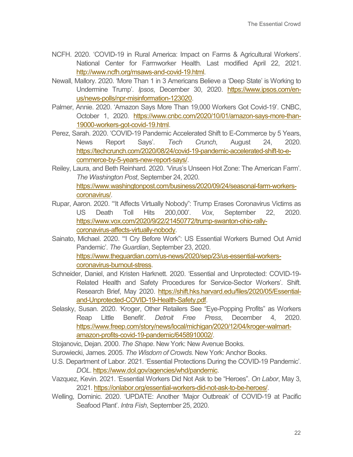- NCFH. 2020. 'COVID-19 in Rural America: Impact on Farms & Agricultural Workers'. National Center for Farmworker Health. Last modified April 22, 2021. [http://www.ncfh.org/msaws-and-covid-19.html.](http://www.ncfh.org/msaws-and-covid-19.html)
- Newall, Mallory. 2020. 'More Than 1 in 3 Americans Believe a 'Deep State' is Working to Undermine Trump'. *Ipsos*, December 30, 2020. [https://www.ipsos.com/en](https://www.ipsos.com/en-us/news-polls/npr-misinformation-123020)[us/news-polls/npr-misinformation-123020.](https://www.ipsos.com/en-us/news-polls/npr-misinformation-123020)
- Palmer, Annie. 2020. 'Amazon Says More Than 19,000 Workers Got Covid-19'. CNBC, October 1, 2020. [https://www.cnbc.com/2020/10/01/amazon-says-more-than-](https://www.cnbc.com/2020/10/01/amazon-says-more-than-19000-workers-got-covid-19.html)[19000-workers-got-covid-19.html.](https://www.cnbc.com/2020/10/01/amazon-says-more-than-19000-workers-got-covid-19.html)
- Perez, Sarah. 2020. 'COVID-19 Pandemic Accelerated Shift to E-Commerce by 5 Years, News Report Says'. *Tech Crunch*, August 24, 2020. [https://techcrunch.com/2020/08/24/covid-19-pandemic-accelerated-shift-to-e](https://techcrunch.com/2020/08/24/covid-19-pandemic-accelerated-shift-to-e-commerce-by-5-years-new-report-says/)[commerce-by-5-years-new-report-says/.](https://techcrunch.com/2020/08/24/covid-19-pandemic-accelerated-shift-to-e-commerce-by-5-years-new-report-says/)
- Reiley, Laura, and Beth Reinhard. 2020. 'Virus's Unseen Hot Zone: The American Farm'. *The Washington Post*, September 24, 2020. [https://www.washingtonpost.com/business/2020/09/24/seasonal-farm-workers](https://www.washingtonpost.com/business/2020/09/24/seasonal-farm-workers-coronavirus/)[coronavirus/.](https://www.washingtonpost.com/business/2020/09/24/seasonal-farm-workers-coronavirus/)
- Rupar, Aaron. 2020. '"It Affects Virtually Nobody": Trump Erases Coronavirus Victims as US Death Toll Hits 200,000'. *Vox*, September 22, 2020. [https://www.vox.com/2020/9/22/21450772/trump-swanton-ohio-rally](https://www.vox.com/2020/9/22/21450772/trump-swanton-ohio-rally-coronavirus-affects-virtually-nobody)[coronavirus-affects-virtually-nobody.](https://www.vox.com/2020/9/22/21450772/trump-swanton-ohio-rally-coronavirus-affects-virtually-nobody)
- Sainato, Michael. 2020. '"I Cry Before Work": US Essential Workers Burned Out Amid Pandemic'. *The Guardian*, September 23, 2020. [https://www.theguardian.com/us-news/2020/sep/23/us-essential-workers](https://www.theguardian.com/us-news/2020/sep/23/us-essential-workers-coronavirus-burnout-stress)[coronavirus-burnout-stress.](https://www.theguardian.com/us-news/2020/sep/23/us-essential-workers-coronavirus-burnout-stress)
- Schneider, Daniel, and Kristen Harknett. 2020. 'Essential and Unprotected: COVID-19- Related Health and Safety Procedures for Service-Sector Workers'. Shift. Research Brief, May 2020. [https://shift.hks.harvard.edu/files/2020/05/Essential](https://shift.hks.harvard.edu/files/2020/05/Essential-and-Unprotected-COVID-19-Health-Safety.pdf)[and-Unprotected-COVID-19-Health-Safety.pdf.](https://shift.hks.harvard.edu/files/2020/05/Essential-and-Unprotected-COVID-19-Health-Safety.pdf)
- Selasky, Susan. 2020. 'Kroger, Other Retailers See "Eye-Popping Profits" as Workers Reap Little Benefit'. *Detroit Free Press*, December 4, 2020. [https://www.freep.com/story/news/local/michigan/2020/12/04/kroger-walmart](https://www.freep.com/story/news/local/michigan/2020/12/04/kroger-walmart-amazon-profits-covid-19-pandemic/6458910002/)[amazon-profits-covid-19-pandemic/6458910002/.](https://www.freep.com/story/news/local/michigan/2020/12/04/kroger-walmart-amazon-profits-covid-19-pandemic/6458910002/)
- Stojanovic, Dejan. 2000. *The Shape*. New York: New Avenue Books.
- Surowiecki, James. 2005. *The Wisdom of Crowds*. New York: Anchor Books.
- U.S. Department of Labor. 2021. 'Essential Protections During the COVID-19 Pandemic'. *DOL*[. https://www.dol.gov/agencies/whd/pandemic.](https://www.dol.gov/agencies/whd/pandemic)
- Vazquez, Kevin. 2021. 'Essential Workers Did Not Ask to be "Heroes". *On Labor*, May 3, 2021. [https://onlabor.org/essential-workers-did-not-ask-to-be-heroes/.](https://onlabor.org/essential-workers-did-not-ask-to-be-heroes/)
- Welling, Dominic. 2020. 'UPDATE: Another 'Major Outbreak' of COVID-19 at Pacific Seafood Plant'. *Intra Fish*, September 25, 2020.